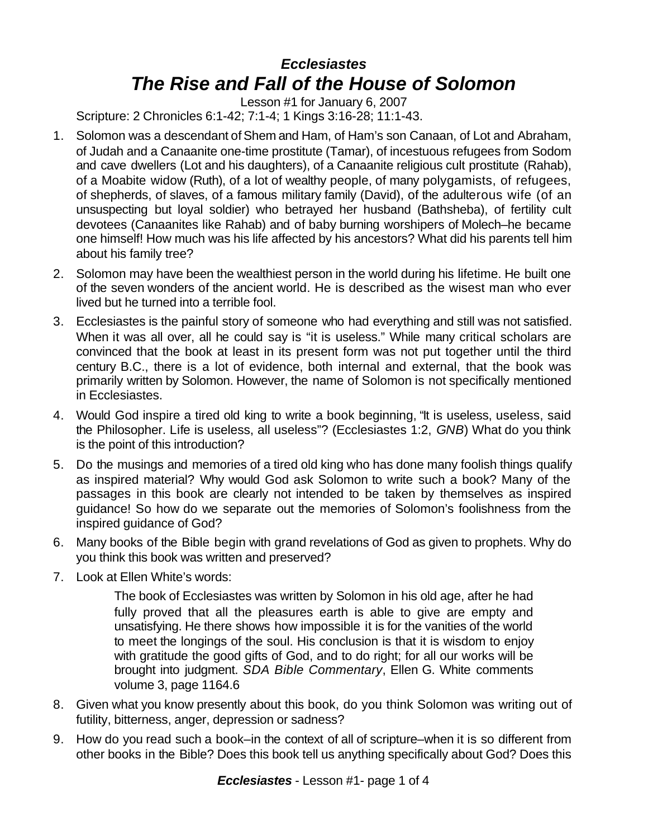## *Ecclesiastes The Rise and Fall of the House of Solomon*

Lesson #1 for January 6, 2007 Scripture: 2 Chronicles 6:1-42; 7:1-4; 1 Kings 3:16-28; 11:1-43.

- 1. Solomon was a descendant of Shem and Ham, of Ham's son Canaan, of Lot and Abraham, of Judah and a Canaanite one-time prostitute (Tamar), of incestuous refugees from Sodom and cave dwellers (Lot and his daughters), of a Canaanite religious cult prostitute (Rahab), of a Moabite widow (Ruth), of a lot of wealthy people, of many polygamists, of refugees, of shepherds, of slaves, of a famous military family (David), of the adulterous wife (of an unsuspecting but loyal soldier) who betrayed her husband (Bathsheba), of fertility cult devotees (Canaanites like Rahab) and of baby burning worshipers of Molech–he became one himself! How much was his life affected by his ancestors? What did his parents tell him about his family tree?
- 2. Solomon may have been the wealthiest person in the world during his lifetime. He built one of the seven wonders of the ancient world. He is described as the wisest man who ever lived but he turned into a terrible fool.
- 3. Ecclesiastes is the painful story of someone who had everything and still was not satisfied. When it was all over, all he could say is "it is useless." While many critical scholars are convinced that the book at least in its present form was not put together until the third century B.C., there is a lot of evidence, both internal and external, that the book was primarily written by Solomon. However, the name of Solomon is not specifically mentioned in Ecclesiastes.
- 4. Would God inspire a tired old king to write a book beginning, "It is useless, useless, said the Philosopher. Life is useless, all useless"? (Ecclesiastes 1:2, *GNB*) What do you think is the point of this introduction?
- 5. Do the musings and memories of a tired old king who has done many foolish things qualify as inspired material? Why would God ask Solomon to write such a book? Many of the passages in this book are clearly not intended to be taken by themselves as inspired guidance! So how do we separate out the memories of Solomon's foolishness from the inspired guidance of God?
- 6. Many books of the Bible begin with grand revelations of God as given to prophets. Why do you think this book was written and preserved?
- 7. Look at Ellen White's words:

The book of Ecclesiastes was written by Solomon in his old age, after he had fully proved that all the pleasures earth is able to give are empty and unsatisfying. He there shows how impossible it is for the vanities of the world to meet the longings of the soul. His conclusion is that it is wisdom to enjoy with gratitude the good gifts of God, and to do right; for all our works will be brought into judgment. *SDA Bible Commentary*, Ellen G. White comments volume 3, page 1164.6

- 8. Given what you know presently about this book, do you think Solomon was writing out of futility, bitterness, anger, depression or sadness?
- 9. How do you read such a book–in the context of all of scripture–when it is so different from other books in the Bible? Does this book tell us anything specifically about God? Does this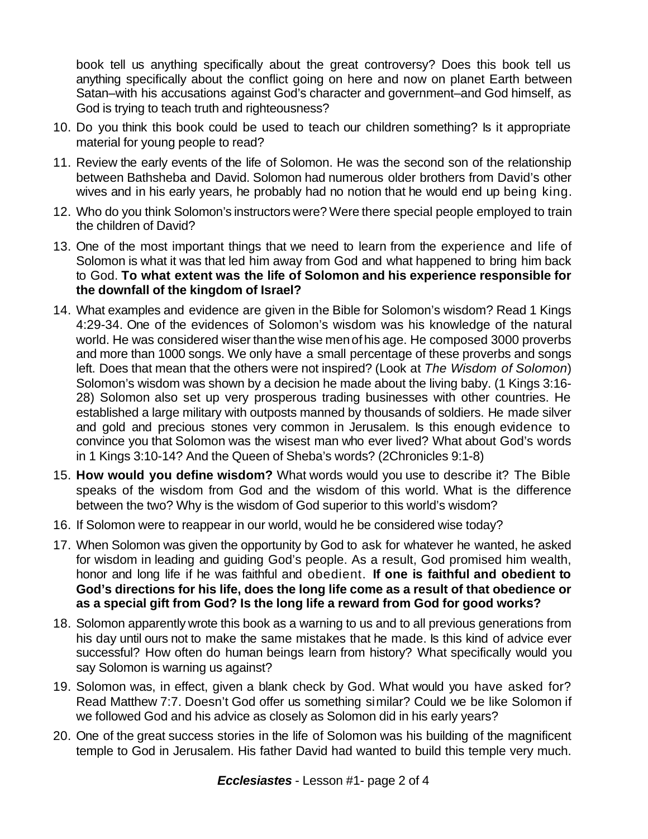book tell us anything specifically about the great controversy? Does this book tell us anything specifically about the conflict going on here and now on planet Earth between Satan–with his accusations against God's character and government–and God himself, as God is trying to teach truth and righteousness?

- 10. Do you think this book could be used to teach our children something? Is it appropriate material for young people to read?
- 11. Review the early events of the life of Solomon. He was the second son of the relationship between Bathsheba and David. Solomon had numerous older brothers from David's other wives and in his early years, he probably had no notion that he would end up being king.
- 12. Who do you think Solomon's instructors were? Were there special people employed to train the children of David?
- 13. One of the most important things that we need to learn from the experience and life of Solomon is what it was that led him away from God and what happened to bring him back to God. **To what extent was the life of Solomon and his experience responsible for the downfall of the kingdom of Israel?**
- 14. What examples and evidence are given in the Bible for Solomon's wisdom? Read 1 Kings 4:29-34. One of the evidences of Solomon's wisdom was his knowledge of the natural world. He was considered wiser than the wise men of his age. He composed 3000 proverbs and more than 1000 songs. We only have a small percentage of these proverbs and songs left. Does that mean that the others were not inspired? (Look at *The Wisdom of Solomon*) Solomon's wisdom was shown by a decision he made about the living baby. (1 Kings 3:16- 28) Solomon also set up very prosperous trading businesses with other countries. He established a large military with outposts manned by thousands of soldiers. He made silver and gold and precious stones very common in Jerusalem. Is this enough evidence to convince you that Solomon was the wisest man who ever lived? What about God's words in 1 Kings 3:10-14? And the Queen of Sheba's words? (2Chronicles 9:1-8)
- 15. **How would you define wisdom?** What words would you use to describe it? The Bible speaks of the wisdom from God and the wisdom of this world. What is the difference between the two? Why is the wisdom of God superior to this world's wisdom?
- 16. If Solomon were to reappear in our world, would he be considered wise today?
- 17. When Solomon was given the opportunity by God to ask for whatever he wanted, he asked for wisdom in leading and guiding God's people. As a result, God promised him wealth, honor and long life if he was faithful and obedient. **If one is faithful and obedient to God's directions for his life, does the long life come as a result of that obedience or as a special gift from God? Is the long life a reward from God for good works?**
- 18. Solomon apparently wrote this book as a warning to us and to all previous generations from his day until ours not to make the same mistakes that he made. Is this kind of advice ever successful? How often do human beings learn from history? What specifically would you say Solomon is warning us against?
- 19. Solomon was, in effect, given a blank check by God. What would you have asked for? Read Matthew 7:7. Doesn't God offer us something similar? Could we be like Solomon if we followed God and his advice as closely as Solomon did in his early years?
- 20. One of the great success stories in the life of Solomon was his building of the magnificent temple to God in Jerusalem. His father David had wanted to build this temple very much.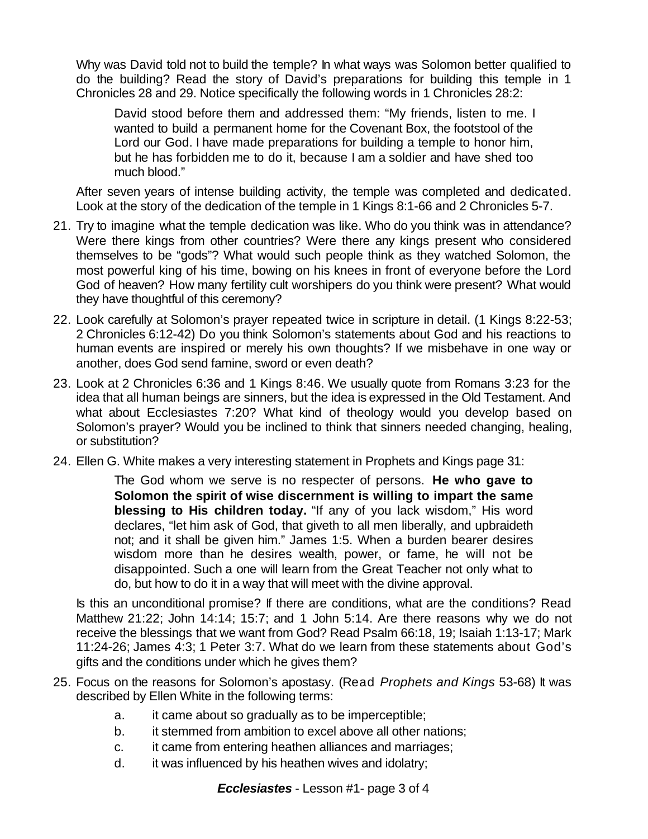Why was David told not to build the temple? In what ways was Solomon better qualified to do the building? Read the story of David's preparations for building this temple in 1 Chronicles 28 and 29. Notice specifically the following words in 1 Chronicles 28:2:

David stood before them and addressed them: "My friends, listen to me. I wanted to build a permanent home for the Covenant Box, the footstool of the Lord our God. I have made preparations for building a temple to honor him, but he has forbidden me to do it, because I am a soldier and have shed too much blood."

After seven years of intense building activity, the temple was completed and dedicated. Look at the story of the dedication of the temple in 1 Kings 8:1-66 and 2 Chronicles 5-7.

- 21. Try to imagine what the temple dedication was like. Who do you think was in attendance? Were there kings from other countries? Were there any kings present who considered themselves to be "gods"? What would such people think as they watched Solomon, the most powerful king of his time, bowing on his knees in front of everyone before the Lord God of heaven? How many fertility cult worshipers do you think were present? What would they have thoughtful of this ceremony?
- 22. Look carefully at Solomon's prayer repeated twice in scripture in detail. (1 Kings 8:22-53; 2 Chronicles 6:12-42) Do you think Solomon's statements about God and his reactions to human events are inspired or merely his own thoughts? If we misbehave in one way or another, does God send famine, sword or even death?
- 23. Look at 2 Chronicles 6:36 and 1 Kings 8:46. We usually quote from Romans 3:23 for the idea that all human beings are sinners, but the idea is expressed in the Old Testament. And what about Ecclesiastes 7:20? What kind of theology would you develop based on Solomon's prayer? Would you be inclined to think that sinners needed changing, healing, or substitution?
- 24. Ellen G. White makes a very interesting statement in Prophets and Kings page 31:

The God whom we serve is no respecter of persons. **He who gave to Solomon the spirit of wise discernment is willing to impart the same blessing to His children today.** "If any of you lack wisdom," His word declares, "let him ask of God, that giveth to all men liberally, and upbraideth not; and it shall be given him." James 1:5. When a burden bearer desires wisdom more than he desires wealth, power, or fame, he will not be disappointed. Such a one will learn from the Great Teacher not only what to do, but how to do it in a way that will meet with the divine approval.

Is this an unconditional promise? If there are conditions, what are the conditions? Read Matthew 21:22; John 14:14; 15:7; and 1 John 5:14. Are there reasons why we do not receive the blessings that we want from God? Read Psalm 66:18, 19; Isaiah 1:13-17; Mark 11:24-26; James 4:3; 1 Peter 3:7. What do we learn from these statements about God's gifts and the conditions under which he gives them?

- 25. Focus on the reasons for Solomon's apostasy. (Read *Prophets and Kings* 53-68) It was described by Ellen White in the following terms:
	- a. it came about so gradually as to be imperceptible;
	- b. it stemmed from ambition to excel above all other nations;
	- c. it came from entering heathen alliances and marriages;
	- d. it was influenced by his heathen wives and idolatry;